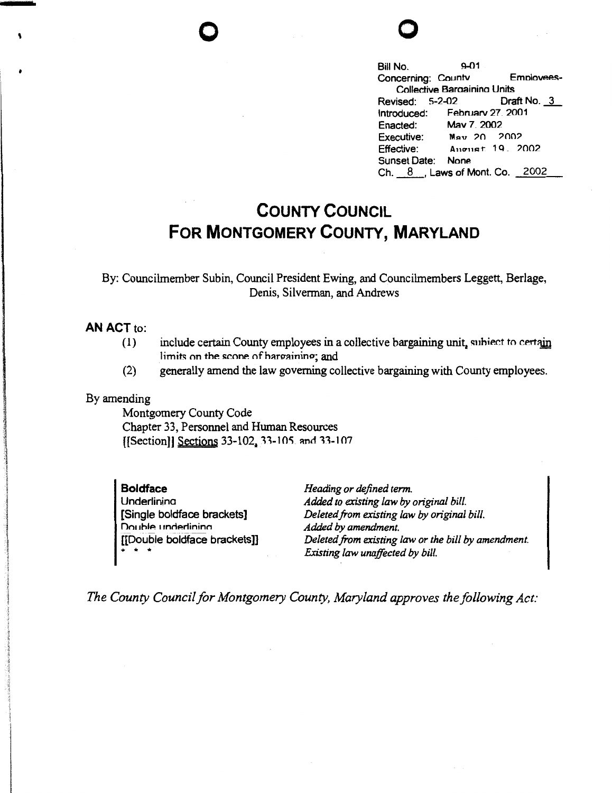

Bill No. 9-01 Concerning: Countv Emolovees-Collective Baraainina Units<br>Revised: 5-2-02 Draft No. 3 Introduced: Februarv 27 2001 Enacted: Mav 7\_ 2002 Executive: May 20 2002 Effective: Angust 19, 2002 Sunset Date: None Ch. \_8\_, Laws of Mont. Co. 2002

## **COUNTY COUNCIL FOR MONTGOMERY COUNTY, MARYLAND**

By: Councilmember Subin, Council President Ewing, and Councilmembers Leggett, Berlage, Denis, Silverman, and Andrews

## **AN ACT** to:

- $(1)$  include certain County employees in a collective bargaining unit, subject to certain limits on the scone of hargaining; and
- (2) generally amend the law governing collective bargaining with County employees.

## By amending

Montgomery County Code Chapter 33, Personnel and Human Resources [[Section]] Sections 33-102, 33-105. and 33-107

**Boldface Underlining** [Single boldface brackets] Double underlining [[Double boldface brackets]] \* \* \*

*Heading or defined term. Added to existing law by original bill. Deleted.from existing law by original bill. Added by amendment. Deleted from existing law or the bill by amendment. Existing law unaffected by bill.* 

*The County Council for Montgomery County, Maryland approves the following Act:*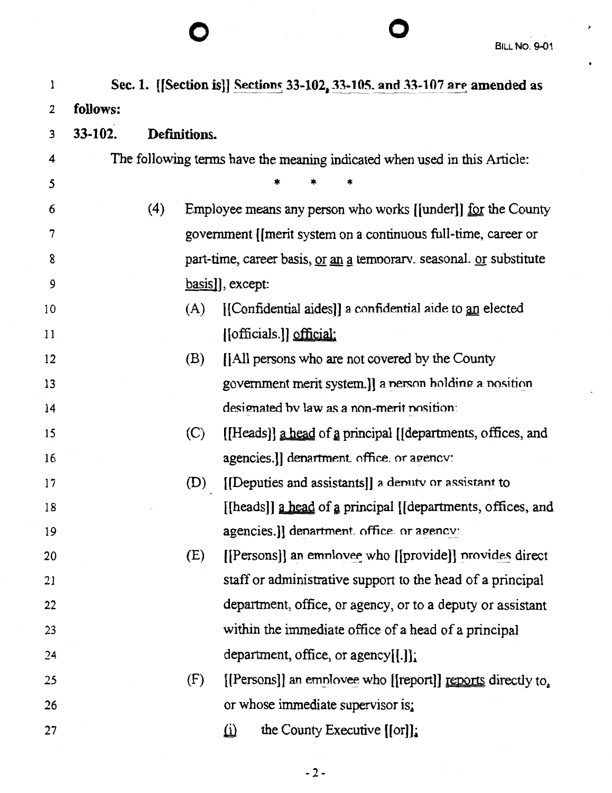| l  |          |     |              | Sec. 1. [[Section is]] Sections 33-102, 33-105. and 33-107 are amended as         |  |  |  |  |
|----|----------|-----|--------------|-----------------------------------------------------------------------------------|--|--|--|--|
| 2  | follows: |     |              |                                                                                   |  |  |  |  |
| 3  | 33-102.  |     | Definitions. |                                                                                   |  |  |  |  |
| 4  |          |     |              | The following terms have the meaning indicated when used in this Article:         |  |  |  |  |
| 5  |          |     |              |                                                                                   |  |  |  |  |
| 6  |          | (4) |              | Employee means any person who works [[under]] <u>for</u> the County               |  |  |  |  |
| 7  |          |     |              | government [[merit system on a continuous full-time, career or                    |  |  |  |  |
| 8  |          |     |              | part-time, career basis, <u>or an</u> a temporary. seasonal. <u>or</u> substitute |  |  |  |  |
| 9  |          |     |              | basis], except:                                                                   |  |  |  |  |
| 10 |          |     | (A)          | [[Confidential aides]] a confidential aide to an elected                          |  |  |  |  |
| 11 |          |     |              | [[officials.]] official:                                                          |  |  |  |  |
| 12 |          |     | (B)          | [[All persons who are not covered by the County                                   |  |  |  |  |
| 13 |          |     |              | government merit system.]] a nerson holding a nosition                            |  |  |  |  |
| 14 |          |     |              | designated by law as a non-merit position:                                        |  |  |  |  |
| 15 |          |     | (C)          | [[Heads]] a head of a principal [[departments, offices, and                       |  |  |  |  |
| 16 |          |     |              | agencies.]] denartment. office. or agency:                                        |  |  |  |  |
| 17 |          |     | (D)          | [[Deputies and assistants]] a deputy or assistant to                              |  |  |  |  |
| 18 |          |     |              | [[heads]] a head of a principal [[departments, offices, and                       |  |  |  |  |
| 19 |          |     |              | agencies.]] denartment. office. or agency:                                        |  |  |  |  |
| 20 |          |     | (E)          | [[Persons]] an employee who [[provide]] provides direct                           |  |  |  |  |
| 21 |          |     |              | staff or administrative support to the head of a principal                        |  |  |  |  |
| 22 |          |     |              | department, office, or agency, or to a deputy or assistant                        |  |  |  |  |
| 23 |          |     |              | within the immediate office of a head of a principal                              |  |  |  |  |
| 24 |          |     |              | department, office, or agency $[[.]]$ ;                                           |  |  |  |  |
| 25 |          |     | (F)          | [[Persons]] an employee who [[report]] reports directly to,                       |  |  |  |  |
| 26 |          |     |              | or whose immediate supervisor is:                                                 |  |  |  |  |
| 27 |          |     |              | the County Executive $[[\text{or}]]$ :<br>$\omega$                                |  |  |  |  |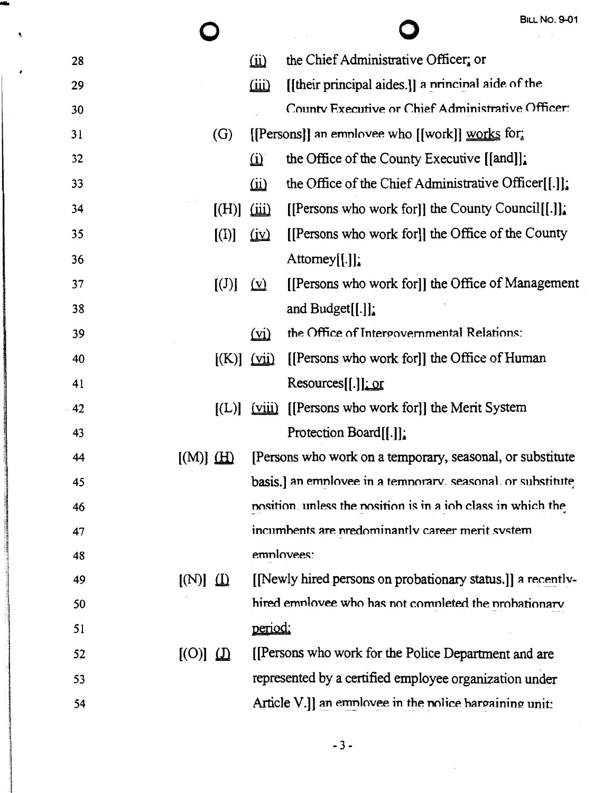O

 $\bigcirc$ 

۸

| 28 |                         |                              | $\omega$                      | the Chief Administrative Officer; or                         |
|----|-------------------------|------------------------------|-------------------------------|--------------------------------------------------------------|
| 29 |                         |                              | $\overline{\text{iii}}$       | [[their principal aides.]] a nrincinal aide of the           |
| 30 |                         |                              |                               | County Executive or Chief Administrative Officer:            |
| 31 |                         | (G)                          |                               | [[Persons]] an employee who [[work]] $\underline{works}$ for |
| 32 |                         |                              | $\omega$                      | the Office of the County Executive [[and]].                  |
| 33 |                         |                              | $\omega$                      | the Office of the Chief Administrative Officer $[[.]]$ :     |
| 34 |                         | [(H)]                        | $\overline{\text{iii}}$       | [[Persons who work for]] the County Council[[.]].            |
| 35 |                         | $\left[ \mathrm{(I)}\right]$ | $\left(\underline{iv}\right)$ | [[Persons who work for]] the Office of the County            |
| 36 |                         |                              |                               | Attomey $[[.]]$ :                                            |
| 37 |                         | [(J)]                        | $(\underline{v})$             | [[Persons who work for]] the Office of Management            |
| 38 |                         |                              |                               | and Budget $[[.]]$ :                                         |
| 39 |                         |                              | $\overline{v}$                | the Office of Intergovernmental Relations:                   |
| 40 |                         | $[(K)]$ $(iii)$              |                               | [[Persons who work for]] the Office of Human                 |
| 41 |                         |                              |                               | Resources[[.]]: or                                           |
| 42 |                         | $\left[ L\right]$            | (viii)                        | [[Persons who work for]] the Merit System                    |
| 43 |                         |                              |                               | Protection Board[[.]]                                        |
| 44 | $[(M)] \underline{H}$   |                              |                               | [Persons who work on a temporary, seasonal, or substitute    |
| 45 |                         |                              |                               | basis.] an employee in a temporary, seasonal, or substitute  |
| 46 |                         |                              |                               | nosition, unless the nosition is in a iob class in which the |
| 47 |                         |                              |                               | incumbents are predominantly career merit system             |
| 48 |                         |                              | employees:                    |                                                              |
| 49 | $[(N)] \nightharpoonup$ |                              |                               | [Newly hired persons on probationary status.]] a recently-   |
| 50 |                         |                              |                               | hired employee who has not completed the probationary        |
| 51 |                         |                              | <u>period:</u>                |                                                              |
| 52 | $[$ (O)] $\Omega$       |                              |                               | [[Persons who work for the Police Department and are         |
| 53 |                         |                              |                               | represented by a certified employee organization under       |
| 54 |                         |                              |                               | Article $V$ .]] an employee in the police bargaining unit:   |
|    |                         |                              |                               |                                                              |

 $-3-$ 

 $\sim 10^7$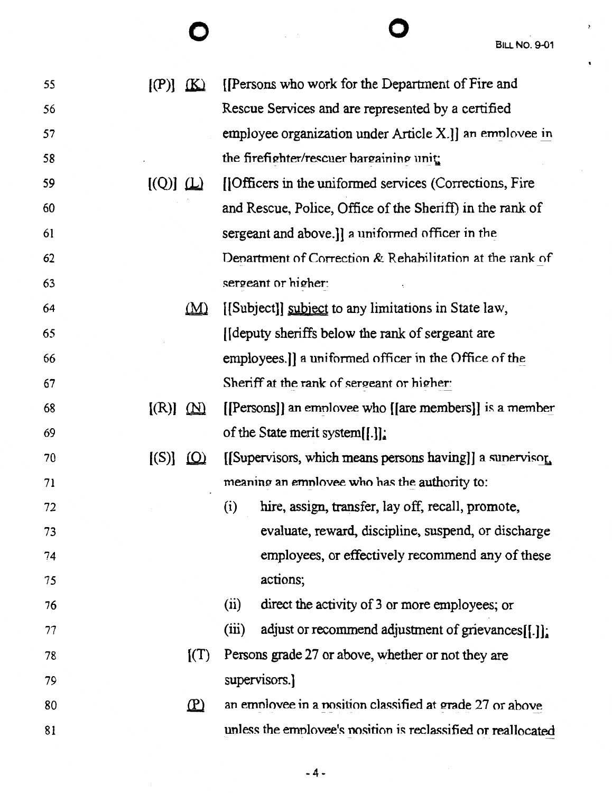$\overline{\phantom{a}}$ 

 $\bullet$ 

| 55 | $[(P)]$ $(K)$           |                   | [[Persons who work for the Department of Fire and               |
|----|-------------------------|-------------------|-----------------------------------------------------------------|
| 56 |                         |                   | Rescue Services and are represented by a certified              |
| 57 |                         |                   | employee organization under Article X.]] an employee in         |
| 58 |                         |                   | the firefighter/rescuer bargaining unit:                        |
| 59 | $[(Q)] \nightharpoonup$ |                   | [[Officers in the uniformed services (Corrections, Fire.]       |
| 60 |                         |                   | and Rescue, Police, Office of the Sheriff) in the rank of       |
| 61 |                         |                   | sergeant and above.]] a uniformed officer in the                |
| 62 |                         |                   | Denartment of Correction $\&$ Rehabilitation at the rank of     |
| 63 |                         |                   | sergeant or higher:                                             |
| 64 |                         | $(\underline{M})$ | [[Subject]] subject to any limitations in State law,            |
| 65 |                         |                   | [Ideputy sheriffs below the rank of sergeant are                |
| 66 |                         |                   | employees.]] a uniformed officer in the Office of the           |
| 67 |                         |                   | Sheriff at the rank of sergeant or higher:                      |
| 68 | $[(R)] \ \Omega$        |                   | [[Persons]] an employee who [[are members]] is a member         |
| 69 |                         |                   | of the State merit system[[.]].                                 |
| 70 | $[(S)]$ $[Q]$           |                   | [[Supervisors, which means persons having]] a sunervisor        |
| 71 |                         |                   | meaning an employee who has the authority to:                   |
| 72 |                         |                   | hire, assign, transfer, lay off, recall, promote,<br>(i)        |
| 73 |                         |                   | evaluate, reward, discipline, suspend, or discharge             |
| 74 |                         |                   | employees, or effectively recommend any of these                |
| 75 |                         |                   | actions;                                                        |
| 76 |                         |                   | (ii)<br>direct the activity of 3 or more employees; or          |
| 77 |                         |                   | adjust or recommend adjustment of grievances $[[.]]$ ;<br>(iii) |
| 78 |                         | $\Gamma(T)$       | Persons grade 27 or above, whether or not they are              |
| 79 |                         |                   | supervisors.                                                    |
| 80 |                         | $\mathbf{D}$      | an employee in a position classified at grade 27 or above       |
| 81 |                         |                   | unless the employee's position is reclassified or reallocated   |
|    |                         |                   |                                                                 |

**0 0**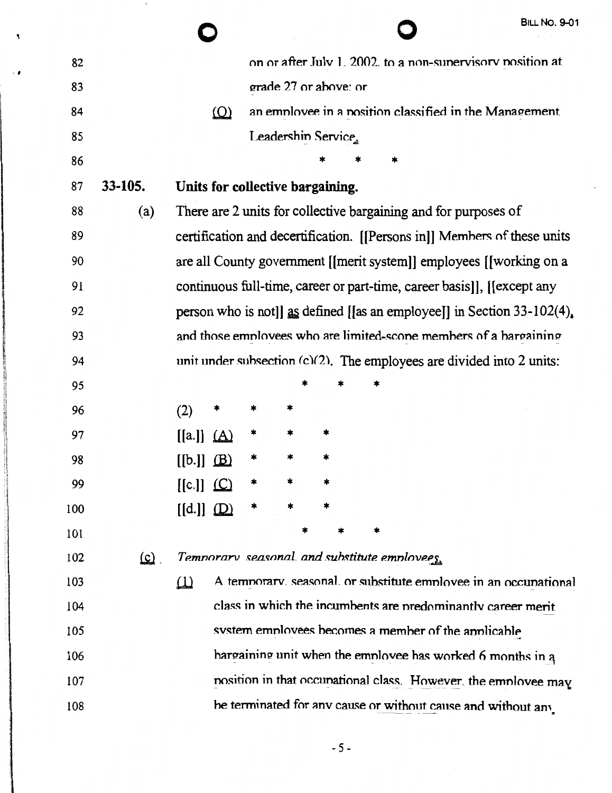|     |            |                                  |  |                       |                                              |                                                                 | <b>BILL NO. 9-01</b>                                                       |
|-----|------------|----------------------------------|--|-----------------------|----------------------------------------------|-----------------------------------------------------------------|----------------------------------------------------------------------------|
| 82  |            |                                  |  |                       |                                              |                                                                 | on or after July 1, 2002, to a non-supervisory position at                 |
| 83  |            |                                  |  | grade 27 or above: or |                                              |                                                                 |                                                                            |
| 84  |            | $\omega$                         |  |                       |                                              |                                                                 | an employee in a position classified in the Management.                    |
| 85  |            |                                  |  | Leadershin Service.   |                                              |                                                                 |                                                                            |
| 86  |            |                                  |  |                       |                                              |                                                                 |                                                                            |
| 87  | 33-105.    | Units for collective bargaining. |  |                       |                                              |                                                                 |                                                                            |
| 88  | (a)        |                                  |  |                       |                                              | There are 2 units for collective bargaining and for purposes of |                                                                            |
| 89  |            |                                  |  |                       |                                              |                                                                 | certification and decertification. [[Persons in]] Members of these units   |
| 90  |            |                                  |  |                       |                                              |                                                                 | are all County government [[merit system]] employees [[working on a        |
| 91  |            |                                  |  |                       |                                              |                                                                 | continuous full-time, career or part-time, career basis]], [[except any    |
| 92  |            |                                  |  |                       |                                              |                                                                 | person who is not]] as defined [[as an employee]] in Section $33-102(4)$ . |
| 93  |            |                                  |  |                       |                                              |                                                                 | and those employees who are limited-scope members of a bargaining          |
| 94  |            |                                  |  |                       |                                              |                                                                 | unit under subsection (c)(2). The employees are divided into 2 units:      |
| 95  |            |                                  |  |                       |                                              |                                                                 |                                                                            |
| 96  |            | (2)<br>×                         |  |                       |                                              |                                                                 |                                                                            |
| 97  |            | [[a]]<br><u>(A)</u>              |  | *                     |                                              |                                                                 |                                                                            |
| 98  |            | [[b.]]<br>(B)                    |  | *                     |                                              |                                                                 |                                                                            |
| 99  |            | $[[c.]]$ $\Box$                  |  |                       |                                              |                                                                 |                                                                            |
| 100 |            | $[[d.]]$ $(D)$                   |  |                       |                                              |                                                                 |                                                                            |
| 101 |            |                                  |  |                       | *                                            |                                                                 |                                                                            |
| 102 | <u>(c)</u> |                                  |  |                       | Temnorary seasonal and substitute employees. |                                                                 |                                                                            |
| 103 |            | Ш                                |  |                       |                                              |                                                                 | A temporary, seasonal, or substitute employee in an occupational           |
| 104 |            |                                  |  |                       |                                              |                                                                 | class in which the incumbents are predominantly career merit               |
| 105 |            |                                  |  |                       |                                              | system employees becomes a member of the applicable             |                                                                            |
| 106 |            |                                  |  |                       |                                              |                                                                 | hargaining unit when the employee has worked 6 months in a                 |
| 107 |            |                                  |  |                       |                                              |                                                                 | nosition in that occunational class. However, the employee may             |
| 108 |            |                                  |  |                       |                                              |                                                                 | he terminated for any cause or without cause and without any               |

٩

 $-5-$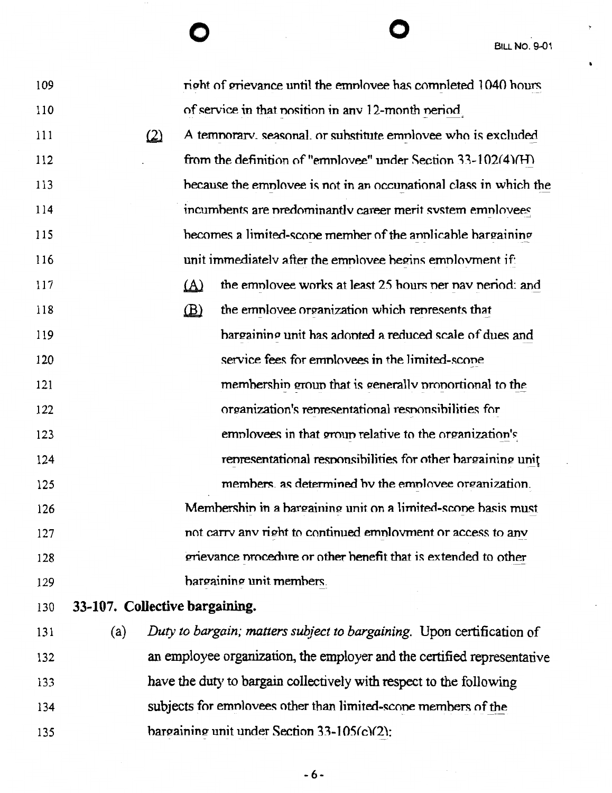| 109 |                                | right of grievance until the employee has completed 1040 hours       |
|-----|--------------------------------|----------------------------------------------------------------------|
| 110 |                                | of service in that position in any 12-month period                   |
| 111 | $\left( 2\right)$              | A temporary, seasonal, or substitute employee who is excluded        |
| 112 |                                | from the definition of "employee" under Section $33-102(4)(H)$       |
| 113 |                                | because the employee is not in an occupational class in which the    |
| 114 |                                | incumbents are predominantly career merit system employees           |
| 115 |                                | becomes a limited-scope member of the annicable bargaining           |
| 116 |                                | unit immediately after the employee begins employment if:            |
| 117 |                                | $\Delta$<br>the employee works at least 25 hours per pay period: and |
| 118 |                                | the employee organization which represents that<br>$\mathbf{B}$      |
| 119 |                                | hargaining unit has adopted a reduced scale of dues and              |
| 120 |                                | service fees for employees in the limited-scope                      |
| 121 |                                | membership group that is generally proportional to the               |
| 122 |                                | organization's representational responsibilities for                 |
| 123 |                                | employees in that group relative to the organization's               |
| 124 |                                | representational responsibilities for other bargaining unit          |
| 125 |                                | members, as determined by the employee organization.                 |
| 126 |                                | Membershin in a bargaining unit on a limited-scope basis must        |
| 127 |                                | not carry any right to continued employment or access to any         |
| 128 |                                | grievance procedure or other benefit that is extended to other       |
| 129 |                                | bargaining unit members.                                             |
| 130 | 33-107. Collective bargaining. |                                                                      |
| 121 |                                |                                                                      |

to bargain; matters subject to bargaining. Upon certification of 131 (a) an employee organization, the employer and the certified representative 132 have the duty to bargain collectively with respect to the following 133 subjects for employees other than limited-scope members of the 134 bargaining unit under Section 33-105(c)(2); 135

 $-6-$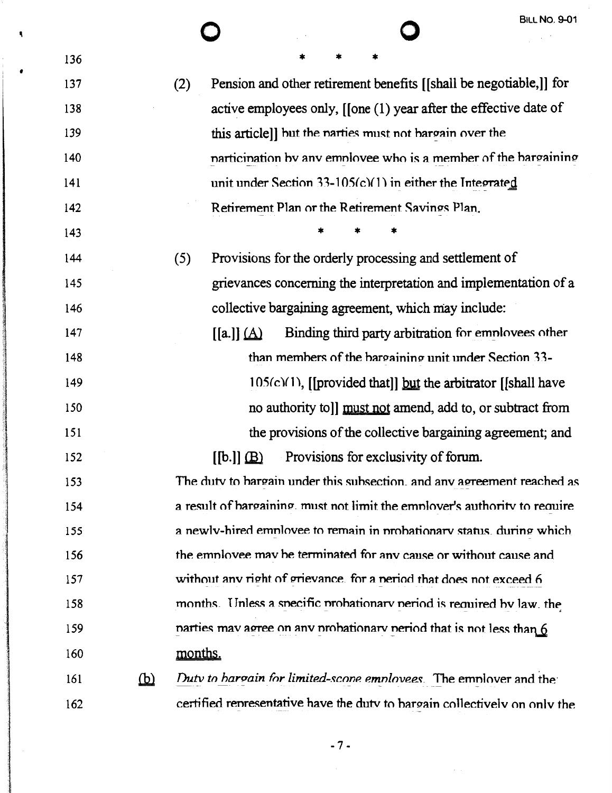$\mathbf{R}$ 

| (2) | Pension and other retirement benefits [[shall be negotiable,]] for            |
|-----|-------------------------------------------------------------------------------|
|     | active employees only, $[$ [one $(1)$ year after the effective date of        |
|     | this article]] but the narties must not hargain over the                      |
|     | narticination by any employee who is a member of the bargaining               |
|     | unit under Section 33-105(c)(1) in either the Integrated                      |
|     | Retirement Plan or the Retirement Savings Plan.                               |
|     |                                                                               |
| (5) | Provisions for the orderly processing and settlement of                       |
|     | grievances concerning the interpretation and implementation of a              |
|     | collective bargaining agreement, which may include:                           |
|     | Binding third party arbitration for employees other<br>$[[a]](\underline{A})$ |
|     | than members of the bargaining unit under Section 33-                         |
|     | $105(c)(1)$ , [[provided that]] but the arbitrator [[shall have               |
|     | no authority to l must not amend, add to, or subtract from                    |
|     | the provisions of the collective bargaining agreement; and                    |
|     | Provisions for exclusivity of forum.<br>$[[b.]]$ $(B)$                        |
|     | The duty to bargain under this subsection, and any agreement reached as       |
|     | a result of hargaining, must not limit the employer's authority to require    |
|     | a newly-hired employee to remain in probationary status, during which         |
|     | the employee may be terminated for any cause or without cause and             |

without any right of grievance. for a neriod that does not exceed 6

months. Unless a specific probationary period is required by law, the

narties may agree on any probationary period that is not less than 6

months. 

Duty to hargain for limited-scone emnlovees. The emnlover and the  $(b)$ certified representative have the duty to bargain collectively on only the 

 $-7-$